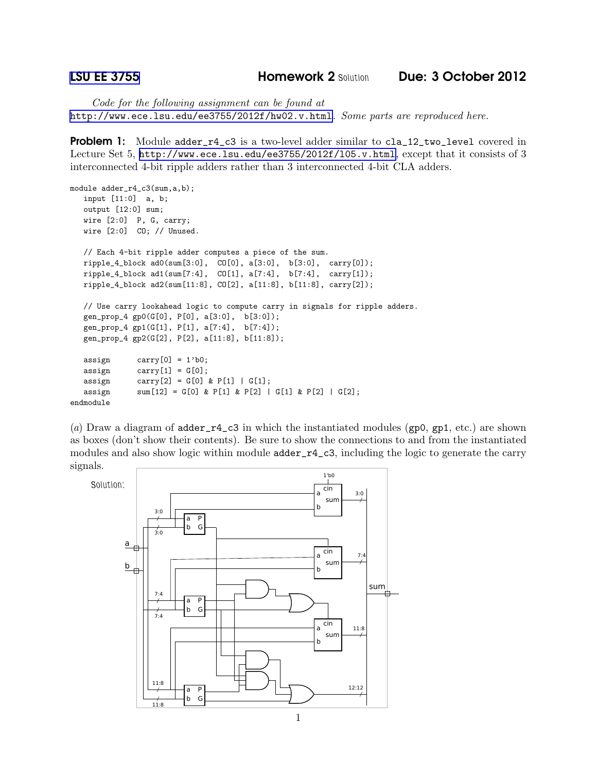*Code for the following assignment can be found at* <http://www.ece.lsu.edu/ee3755/2012f/hw02.v.html>*. Some parts are reproduced here.*

**Problem 1:** Module adder\_r4\_c3 is a two-level adder similar to cla\_12\_two\_level covered in Lecture Set 5, <http://www.ece.lsu.edu/ee3755/2012f/l05.v.html>, except that it consists of 3 interconnected 4-bit ripple adders rather than 3 interconnected 4-bit CLA adders.

```
module adder_r4_c3(sum,a,b);
  input [11:0] a, b;
  output [12:0] sum;
  wire [2:0] P, G, carry;
  wire [2:0] CO; // Unused.
  // Each 4-bit ripple adder computes a piece of the sum.
  ripple_4_block ad0(sum[3:0], CO[0], a[3:0], b[3:0], carry[0]);
  ripple_4_block ad1(sum[7:4], CO[1], a[7:4], b[7:4], carry[1]);
  ripple_4_block ad2(sum[11:8], CO[2], a[11:8], b[11:8], carry[2]);
  // Use carry lookahead logic to compute carry in signals for ripple adders.
  gen_prop_4 gp0(G[0], P[0], a[3:0], b[3:0]);
  gen_prop_4 gp1(G[1], P[1], a[7:4], b[7:4]);
  gen_prop_4 gp2(G[2], P[2], a[11:8], b[11:8]);
  assign carry[0] = 1'b0;\text{assign} \quad \text{carry}[1] = G[0];assign carry[2] = G[0] & P[1] | G[1];
  assign sum[12] = G[0] & P[1] & P[2] | G[1] & P[2] | G[2];endmodule
```
(*a*) Draw a diagram of adder\_r4\_c3 in which the instantiated modules (gp0, gp1, etc.) are shown as boxes (don't show their contents). Be sure to show the connections to and from the instantiated modules and also show logic within module  $\texttt{adder\_r4\_c3}$ , including the logic to generate the carry signals.

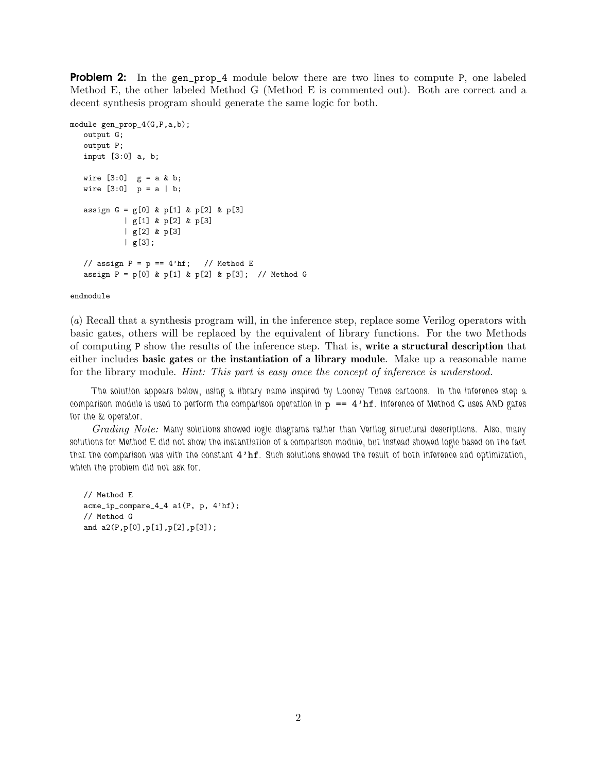**Problem 2:** In the gen\_prop\_4 module below there are two lines to compute P, one labeled Method E, the other labeled Method G (Method E is commented out). Both are correct and a decent synthesis program should generate the same logic for both.

```
module gen_prop_4(G,P,a,b);
  output G;
  output P;
  input [3:0] a, b;
  wire [3:0] g = a k b;wire [3:0] p = a | b;assign G = g[0] & p[1] & p[2] & p[3]| g[1] & p[2] & p[3]
           | g[2] & p[3]
           | g[3];
  // assign P = p == 4'hf; // Method E
  assign P = p[0] & p[1] & p[2] & p[3]; // Method G
```
## endmodule

(*a*) Recall that a synthesis program will, in the inference step, replace some Verilog operators with basic gates, others will be replaced by the equivalent of library functions. For the two Methods of computing P show the results of the inference step. That is, write a structural description that either includes basic gates or the instantiation of a library module. Make up a reasonable name for the library module. *Hint: This part is easy once the concept of inference is understood.*

*The solution appears below, using a library name inspired by Looney Tunes cartoons. In the inference step a comparison module is used to perform the comparison operation in* p == 4'hf*. Inference of Method G uses AND gates for the & operator.*

*Grading Note: Many solutions showed logic diagrams rather than Verilog structural descriptions. Also, many solutions for Method E did not show the instantiation of a comparison module, but instead showed logic based on the fact that the comparison was with the constant* 4'hf*. Such solutions showed the result of both inference and optimization, which the problem did not ask for.*

```
// Method E
acme_ip_compare_4_4 a1(P, p, 4'hf);
// Method G
and a2(P,p[0],p[1],p[2],p[3]);
```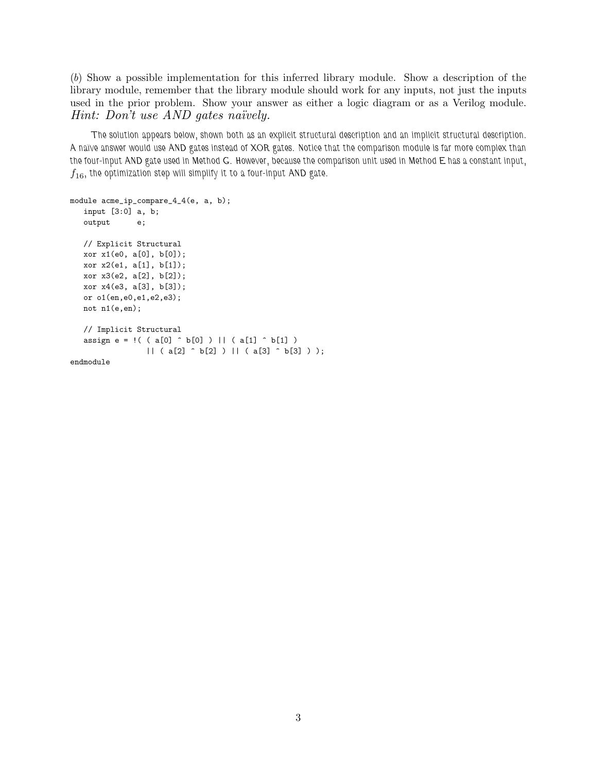(*b*) Show a possible implementation for this inferred library module. Show a description of the library module, remember that the library module should work for any inputs, not just the inputs used in the prior problem. Show your answer as either a logic diagram or as a Verilog module. *Hint: Don't use AND gates naïvely.* 

*The solution appears below, shown both as an explicit structural description and an implicit structural description. A na¨ıve answer would use AND gates instead of XOR gates. Notice that the comparison module is far more complex than the four-input AND gate used in Method G. However, because the comparison unit used in Method E has a constant input,*  $f_{16}$ , the optimization step will simplify it to a four-input AND gate.

```
module acme_ip_compare_4_4(e, a, b);
  input [3:0] a, b;
  output e;
  // Explicit Structural
  xor x1(e0, a[0], b[0]);
  xor x2(e1, a[1], b[1]);
  xor x3(e2, a[2], b[2]);
  xor x4(e3, a[3], b[3]);
  or o1(en,e0,e1,e2,e3);
  not n1(e,en);
   // Implicit Structural
  assign e = ! ( ( a[0] \hat{b} b[0] ) || ( a[1] \hat{b} b[1] )
                 || ( a[2] ^ b[2] ) || ( a[3] ^ b[3] ) );
endmodule
```